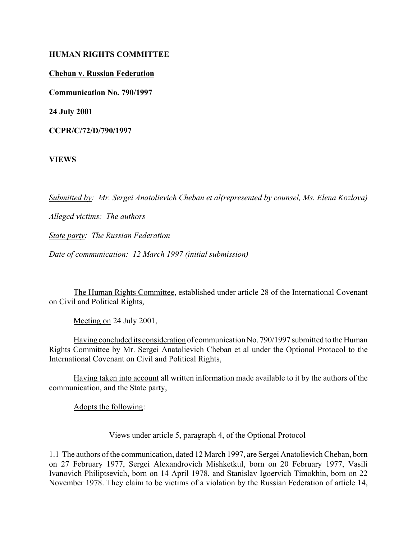#### **HUMAN RIGHTS COMMITTEE**

**Cheban v. Russian Federation**

**Communication No. 790/1997**

**24 July 2001**

**CCPR/C/72/D/790/1997** 

**VIEWS**

*Submitted by: Mr. Sergei Anatolievich Cheban et al(represented by counsel, Ms. Elena Kozlova)*

*Alleged victims: The authors* 

*State party: The Russian Federation* 

*Date of communication: 12 March 1997 (initial submission)* 

The Human Rights Committee, established under article 28 of the International Covenant on Civil and Political Rights,

Meeting on 24 July 2001,

Having concluded its consideration of communication No. 790/1997 submitted to the Human Rights Committee by Mr. Sergei Anatolievich Cheban et al under the Optional Protocol to the International Covenant on Civil and Political Rights,

Having taken into account all written information made available to it by the authors of the communication, and the State party,

Adopts the following:

### Views under article 5, paragraph 4, of the Optional Protocol

1.1 The authors of the communication, dated 12 March 1997, are Sergei Anatolievich Cheban, born on 27 February 1977, Sergei Alexandrovich Mishketkul, born on 20 February 1977, Vasili Ivanovich Philiptsevich, born on 14 April 1978, and Stanislav Igoervich Timokhin, born on 22 November 1978. They claim to be victims of a violation by the Russian Federation of article 14,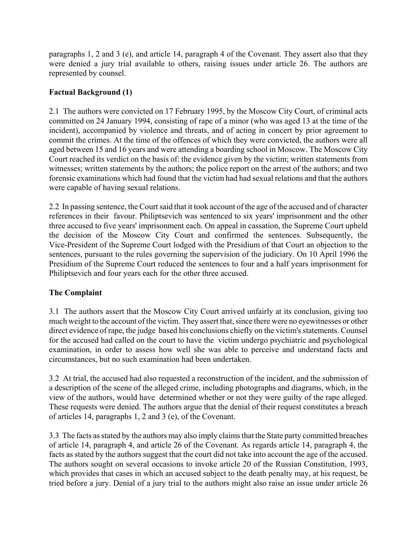paragraphs 1, 2 and 3 (e), and article 14, paragraph 4 of the Covenant. They assert also that they were denied a jury trial available to others, raising issues under article 26. The authors are represented by counsel.

# **Factual Background (1)**

2.1 The authors were convicted on 17 February 1995, by the Moscow City Court, of criminal acts committed on 24 January 1994, consisting of rape of a minor (who was aged 13 at the time of the incident), accompanied by violence and threats, and of acting in concert by prior agreement to commit the crimes. At the time of the offences of which they were convicted, the authors were all aged between 15 and 16 years and were attending a boarding school in Moscow. The Moscow City Court reached its verdict on the basis of: the evidence given by the victim; written statements from witnesses; written statements by the authors; the police report on the arrest of the authors; and two forensic examinations which had found that the victim had had sexual relations and that the authors were capable of having sexual relations.

2.2 In passing sentence, the Court said that it took account of the age of the accused and of character references in their favour. Philiptsevich was sentenced to six years' imprisonment and the other three accused to five years' imprisonment each. On appeal in cassation, the Supreme Court upheld the decision of the Moscow City Court and confirmed the sentences. Subsequently, the Vice-President of the Supreme Court lodged with the Presidium of that Court an objection to the sentences, pursuant to the rules governing the supervision of the judiciary. On 10 April 1996 the Presidium of the Supreme Court reduced the sentences to four and a half years imprisonment for Philiptsevich and four years each for the other three accused.

# **The Complaint**

3.1 The authors assert that the Moscow City Court arrived unfairly at its conclusion, giving too much weight to the account of the victim. They assert that, since there were no eyewitnesses or other direct evidence of rape, the judge based his conclusions chiefly on the victim's statements. Counsel for the accused had called on the court to have the victim undergo psychiatric and psychological examination, in order to assess how well she was able to perceive and understand facts and circumstances, but no such examination had been undertaken.

3.2 At trial, the accused had also requested a reconstruction of the incident, and the submission of a description of the scene of the alleged crime, including photographs and diagrams, which, in the view of the authors, would have determined whether or not they were guilty of the rape alleged. These requests were denied. The authors argue that the denial of their request constitutes a breach of articles 14, paragraphs 1, 2 and 3 (e), of the Covenant.

3.3 The facts as stated by the authors may also imply claims that the State party committed breaches of article 14, paragraph 4, and article 26 of the Covenant. As regards article 14, paragraph 4, the facts as stated by the authors suggest that the court did not take into account the age of the accused. The authors sought on several occasions to invoke article 20 of the Russian Constitution, 1993, which provides that cases in which an accused subject to the death penalty may, at his request, be tried before a jury. Denial of a jury trial to the authors might also raise an issue under article 26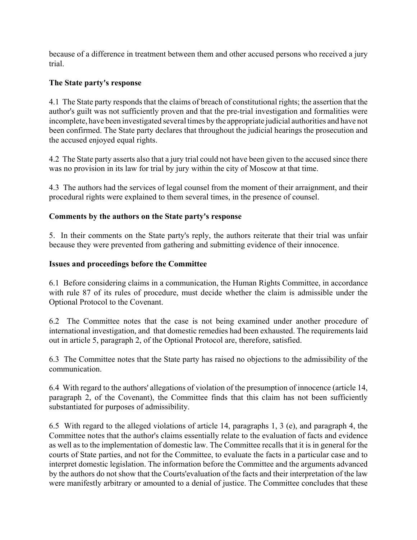because of a difference in treatment between them and other accused persons who received a jury trial.

#### **The State party's response**

4.1 The State party responds that the claims of breach of constitutional rights; the assertion that the author's guilt was not sufficiently proven and that the pre-trial investigation and formalities were incomplete, have been investigated several times by the appropriate judicial authorities and have not been confirmed. The State party declares that throughout the judicial hearings the prosecution and the accused enjoyed equal rights.

4.2 The State party asserts also that a jury trial could not have been given to the accused since there was no provision in its law for trial by jury within the city of Moscow at that time.

4.3 The authors had the services of legal counsel from the moment of their arraignment, and their procedural rights were explained to them several times, in the presence of counsel.

#### **Comments by the authors on the State party's response**

5. In their comments on the State party's reply, the authors reiterate that their trial was unfair because they were prevented from gathering and submitting evidence of their innocence.

#### **Issues and proceedings before the Committee**

6.1 Before considering claims in a communication, the Human Rights Committee, in accordance with rule 87 of its rules of procedure, must decide whether the claim is admissible under the Optional Protocol to the Covenant.

6.2 The Committee notes that the case is not being examined under another procedure of international investigation, and that domestic remedies had been exhausted. The requirements laid out in article 5, paragraph 2, of the Optional Protocol are, therefore, satisfied.

6.3 The Committee notes that the State party has raised no objections to the admissibility of the communication.

6.4 With regard to the authors' allegations of violation of the presumption of innocence (article 14, paragraph 2, of the Covenant), the Committee finds that this claim has not been sufficiently substantiated for purposes of admissibility.

6.5 With regard to the alleged violations of article 14, paragraphs 1, 3 (e), and paragraph 4, the Committee notes that the author's claims essentially relate to the evaluation of facts and evidence as well as to the implementation of domestic law. The Committee recalls that it is in general for the courts of State parties, and not for the Committee, to evaluate the facts in a particular case and to interpret domestic legislation. The information before the Committee and the arguments advanced by the authors do not show that the Courts'evaluation of the facts and their interpretation of the law were manifestly arbitrary or amounted to a denial of justice. The Committee concludes that these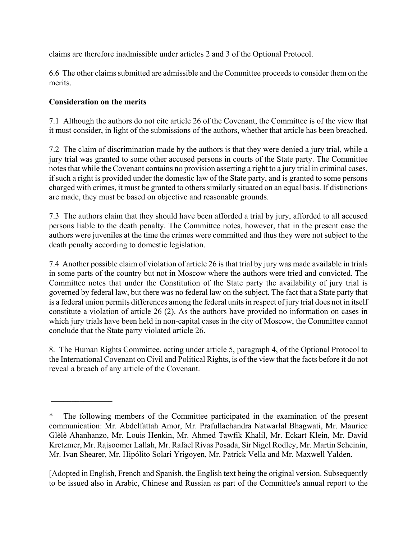claims are therefore inadmissible under articles 2 and 3 of the Optional Protocol.

6.6 The other claims submitted are admissible and the Committee proceeds to consider them on the merits.

## **Consideration on the merits**

 $\frac{1}{2}$ 

7.1 Although the authors do not cite article 26 of the Covenant, the Committee is of the view that it must consider, in light of the submissions of the authors, whether that article has been breached.

7.2 The claim of discrimination made by the authors is that they were denied a jury trial, while a jury trial was granted to some other accused persons in courts of the State party. The Committee notes that while the Covenant contains no provision asserting a right to a jury trial in criminal cases, if such a right is provided under the domestic law of the State party, and is granted to some persons charged with crimes, it must be granted to others similarly situated on an equal basis. If distinctions are made, they must be based on objective and reasonable grounds.

7.3 The authors claim that they should have been afforded a trial by jury, afforded to all accused persons liable to the death penalty. The Committee notes, however, that in the present case the authors were juveniles at the time the crimes were committed and thus they were not subject to the death penalty according to domestic legislation.

7.4 Another possible claim of violation of article 26 is that trial by jury was made available in trials in some parts of the country but not in Moscow where the authors were tried and convicted. The Committee notes that under the Constitution of the State party the availability of jury trial is governed by federal law, but there was no federal law on the subject. The fact that a State party that is a federal union permits differences among the federal units in respect of jury trial does not in itself constitute a violation of article 26 (2). As the authors have provided no information on cases in which jury trials have been held in non-capital cases in the city of Moscow, the Committee cannot conclude that the State party violated article 26.

8. The Human Rights Committee, acting under article 5, paragraph 4, of the Optional Protocol to the International Covenant on Civil and Political Rights, is of the view that the facts before it do not reveal a breach of any article of the Covenant.

[Adopted in English, French and Spanish, the English text being the original version. Subsequently to be issued also in Arabic, Chinese and Russian as part of the Committee's annual report to the

The following members of the Committee participated in the examination of the present communication: Mr. Abdelfattah Amor, Mr. Prafullachandra Natwarlal Bhagwati, Mr. Maurice Glèlè Ahanhanzo, Mr. Louis Henkin, Mr. Ahmed Tawfik Khalil, Mr. Eckart Klein, Mr. David Kretzmer, Mr. Rajsoomer Lallah, Mr. Rafael Rivas Posada, Sir Nigel Rodley, Mr. Martin Scheinin, Mr. Ivan Shearer, Mr. Hipólito Solari Yrigoyen, Mr. Patrick Vella and Mr. Maxwell Yalden.